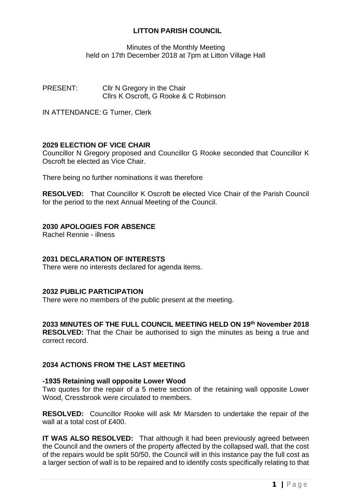# **LITTON PARISH COUNCIL**

Minutes of the Monthly Meeting held on 17th December 2018 at 7pm at Litton Village Hall

PRESENT: Cllr N Gregory in the Chair Cllrs K Oscroft, G Rooke & C Robinson

IN ATTENDANCE: G Turner, Clerk

## **2029 ELECTION OF VICE CHAIR**

Councillor N Gregory proposed and Councillor G Rooke seconded that Councillor K Oscroft be elected as Vice Chair.

There being no further nominations it was therefore

**RESOLVED:** That Councillor K Oscroft be elected Vice Chair of the Parish Council for the period to the next Annual Meeting of the Council.

## **2030 APOLOGIES FOR ABSENCE**

Rachel Rennie - illness

### **2031 DECLARATION OF INTERESTS**

There were no interests declared for agenda items.

### **2032 PUBLIC PARTICIPATION**

There were no members of the public present at the meeting.

# **2033 MINUTES OF THE FULL COUNCIL MEETING HELD ON 19 th November 2018**

**RESOLVED:** That the Chair be authorised to sign the minutes as being a true and correct record.

# **2034 ACTIONS FROM THE LAST MEETING**

#### **-1935 Retaining wall opposite Lower Wood**

Two quotes for the repair of a 5 metre section of the retaining wall opposite Lower Wood, Cressbrook were circulated to members.

**RESOLVED:** Councillor Rooke will ask Mr Marsden to undertake the repair of the wall at a total cost of £400.

**IT WAS ALSO RESOLVED:** That although it had been previously agreed between the Council and the owners of the property affected by the collapsed wall, that the cost of the repairs would be split 50/50, the Council will in this instance pay the full cost as a larger section of wall is to be repaired and to identify costs specifically relating to that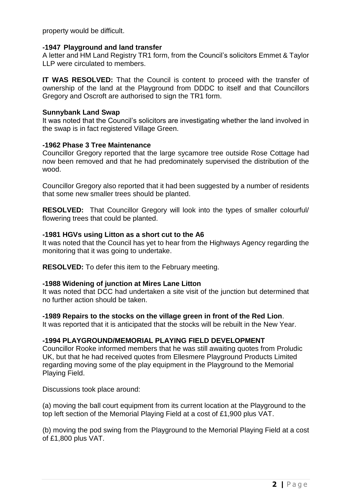property would be difficult.

#### **-1947 Playground and land transfer**

A letter and HM Land Registry TR1 form, from the Council's solicitors Emmet & Taylor LLP were circulated to members.

**IT WAS RESOLVED:** That the Council is content to proceed with the transfer of ownership of the land at the Playground from DDDC to itself and that Councillors Gregory and Oscroft are authorised to sign the TR1 form.

#### **Sunnybank Land Swap**

It was noted that the Council's solicitors are investigating whether the land involved in the swap is in fact registered Village Green.

#### **-1962 Phase 3 Tree Maintenance**

Councillor Gregory reported that the large sycamore tree outside Rose Cottage had now been removed and that he had predominately supervised the distribution of the wood.

Councillor Gregory also reported that it had been suggested by a number of residents that some new smaller trees should be planted.

**RESOLVED:** That Councillor Gregory will look into the types of smaller colourful/ flowering trees that could be planted.

### **-1981 HGVs using Litton as a short cut to the A6**

It was noted that the Council has yet to hear from the Highways Agency regarding the monitoring that it was going to undertake.

**RESOLVED:** To defer this item to the February meeting.

### **-1988 Widening of junction at Mires Lane Litton**

It was noted that DCC had undertaken a site visit of the junction but determined that no further action should be taken.

#### **-1989 Repairs to the stocks on the village green in front of the Red Lion**.

It was reported that it is anticipated that the stocks will be rebuilt in the New Year.

### **-1994 PLAYGROUND/MEMORIAL PLAYING FIELD DEVELOPMENT**

Councillor Rooke informed members that he was still awaiting quotes from Proludic UK, but that he had received quotes from Ellesmere Playground Products Limited regarding moving some of the play equipment in the Playground to the Memorial Playing Field.

Discussions took place around:

(a) moving the ball court equipment from its current location at the Playground to the top left section of the Memorial Playing Field at a cost of £1,900 plus VAT.

(b) moving the pod swing from the Playground to the Memorial Playing Field at a cost of £1,800 plus VAT.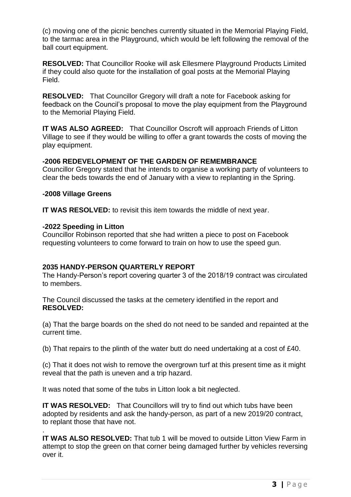(c) moving one of the picnic benches currently situated in the Memorial Playing Field, to the tarmac area in the Playground, which would be left following the removal of the ball court equipment.

**RESOLVED:** That Councillor Rooke will ask Ellesmere Playground Products Limited if they could also quote for the installation of goal posts at the Memorial Playing Field.

**RESOLVED:** That Councillor Gregory will draft a note for Facebook asking for feedback on the Council's proposal to move the play equipment from the Playground to the Memorial Playing Field.

**IT WAS ALSO AGREED:** That Councillor Oscroft will approach Friends of Litton Village to see if they would be willing to offer a grant towards the costs of moving the play equipment.

### **-2006 REDEVELOPMENT OF THE GARDEN OF REMEMBRANCE**

Councillor Gregory stated that he intends to organise a working party of volunteers to clear the beds towards the end of January with a view to replanting in the Spring.

#### **-2008 Village Greens**

**IT WAS RESOLVED:** to revisit this item towards the middle of next year.

#### **-2022 Speeding in Litton**

.

Councillor Robinson reported that she had written a piece to post on Facebook requesting volunteers to come forward to train on how to use the speed gun.

### **2035 HANDY-PERSON QUARTERLY REPORT**

The Handy-Person's report covering quarter 3 of the 2018/19 contract was circulated to members.

The Council discussed the tasks at the cemetery identified in the report and **RESOLVED:**

(a) That the barge boards on the shed do not need to be sanded and repainted at the current time.

(b) That repairs to the plinth of the water butt do need undertaking at a cost of £40.

(c) That it does not wish to remove the overgrown turf at this present time as it might reveal that the path is uneven and a trip hazard.

It was noted that some of the tubs in Litton look a bit neglected.

**IT WAS RESOLVED:** That Councillors will try to find out which tubs have been adopted by residents and ask the handy-person, as part of a new 2019/20 contract, to replant those that have not.

**IT WAS ALSO RESOLVED:** That tub 1 will be moved to outside Litton View Farm in attempt to stop the green on that corner being damaged further by vehicles reversing over it.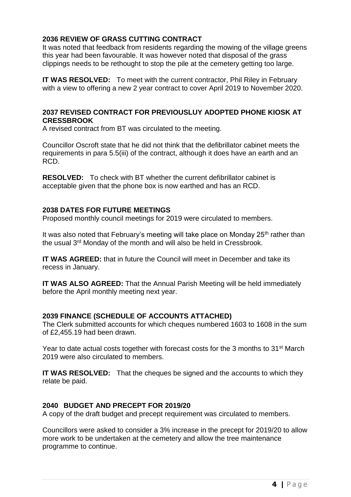# **2036 REVIEW OF GRASS CUTTING CONTRACT**

It was noted that feedback from residents regarding the mowing of the village greens this year had been favourable. It was however noted that disposal of the grass clippings needs to be rethought to stop the pile at the cemetery getting too large.

**IT WAS RESOLVED:** To meet with the current contractor, Phil Riley in February with a view to offering a new 2 year contract to cover April 2019 to November 2020.

## **2037 REVISED CONTRACT FOR PREVIOUSLUY ADOPTED PHONE KIOSK AT CRESSBROOK**

A revised contract from BT was circulated to the meeting.

Councillor Oscroft state that he did not think that the defibrillator cabinet meets the requirements in para 5.5(iii) of the contract, although it does have an earth and an RCD.

**RESOLVED:** To check with BT whether the current defibrillator cabinet is acceptable given that the phone box is now earthed and has an RCD.

### **2038 DATES FOR FUTURE MEETINGS**

Proposed monthly council meetings for 2019 were circulated to members.

It was also noted that February's meeting will take place on Monday  $25<sup>th</sup>$  rather than the usual 3<sup>rd</sup> Monday of the month and will also be held in Cressbrook.

**IT WAS AGREED:** that in future the Council will meet in December and take its recess in January.

**IT WAS ALSO AGREED:** That the Annual Parish Meeting will be held immediately before the April monthly meeting next year.

### **2039 FINANCE (SCHEDULE OF ACCOUNTS ATTACHED)**

The Clerk submitted accounts for which cheques numbered 1603 to 1608 in the sum of £2,455.19 had been drawn.

Year to date actual costs together with forecast costs for the 3 months to 31st March 2019 were also circulated to members.

**IT WAS RESOLVED:** That the cheques be signed and the accounts to which they relate be paid.

### **2040 BUDGET AND PRECEPT FOR 2019/20**

A copy of the draft budget and precept requirement was circulated to members.

Councillors were asked to consider a 3% increase in the precept for 2019/20 to allow more work to be undertaken at the cemetery and allow the tree maintenance programme to continue.